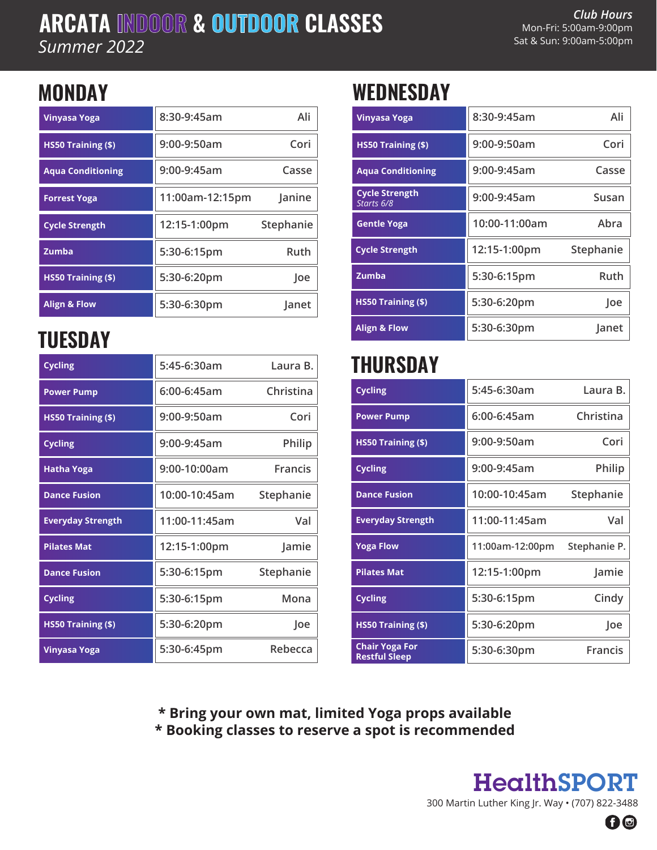### **ARCATA INDOOR & OUTDOOR CLASSES** *Summer 2022*

### **MONDAY**

| Vinyasa Yoga             | 8:30-9:45am     | Ali       |
|--------------------------|-----------------|-----------|
| HS50 Training (\$)       | 9:00-9:50am     | Cori      |
| <b>Agua Conditioning</b> | 9:00-9:45am     | Casse     |
| <b>Forrest Yoga</b>      | 11:00am-12:15pm | Janine    |
| <b>Cycle Strength</b>    | 12:15-1:00pm    | Stephanie |
| Zumba                    | 5:30-6:15pm     | Ruth      |
| HS50 Training (\$)       | 5:30-6:20pm     | loe       |
| <b>Align &amp; Flow</b>  | 5:30-6:30pm     | Janet     |

# **TUESDAY**

| <b>Cycling</b>           | 5:45-6:30am   | Laura B.       |
|--------------------------|---------------|----------------|
| <b>Power Pump</b>        | 6:00-6:45am   | Christina      |
| HS50 Training (\$)       | 9:00-9:50am   | Cori           |
| <b>Cycling</b>           | 9:00-9:45am   | <b>Philip</b>  |
| <b>Hatha Yoga</b>        | 9:00-10:00am  | <b>Francis</b> |
| <b>Dance Fusion</b>      | 10:00-10:45am | Stephanie      |
| <b>Everyday Strength</b> | 11:00-11:45am | Val            |
| <b>Pilates Mat</b>       | 12:15-1:00pm  | Jamie          |
| <b>Dance Fusion</b>      | 5:30-6:15pm   | Stephanie      |
| <b>Cycling</b>           | 5:30-6:15pm   | Mona           |
| HS50 Training (\$)       | 5:30-6:20pm   | Joe            |
| Vinyasa Yoga             | 5:30-6:45pm   | Rebecca        |

## **WEDNESDAY**

| Vinyasa Yoga              | 8:30-9:45am     | Ali       | <b>Vinyasa Yoga</b>                 | 8:30-9:45am   | Ali       |
|---------------------------|-----------------|-----------|-------------------------------------|---------------|-----------|
| HS50 Training (\$)        | 9:00-9:50am     | Cori      | HS50 Training (\$)                  | 9:00-9:50am   | Cori      |
| <b>Aqua Conditioning</b>  | 9:00-9:45am     | Casse     | <b>Aqua Conditioning</b>            | $9:00-9:45am$ | Casse     |
| <b>Forrest Yoga</b>       | 11:00am-12:15pm | Janine    | <b>Cycle Strength</b><br>Starts 6/8 | 9:00-9:45am   | Susan     |
| <b>Cycle Strength</b>     | 12:15-1:00pm    | Stephanie | <b>Gentle Yoga</b>                  | 10:00-11:00am | Abra      |
| Zumba                     | 5:30-6:15pm     | Ruth      | <b>Cycle Strength</b>               | 12:15-1:00pm  | Stephanie |
| <b>HS50 Training (\$)</b> | 5:30-6:20pm     | Joe       | Zumba                               | 5:30-6:15pm   | Ruth      |
| <b>Align &amp; Flow</b>   | 5:30-6:30pm     | Janet     | HS50 Training (\$)                  | 5:30-6:20pm   | Joe       |
| 'IIFODAV                  |                 |           | <b>Align &amp; Flow</b>             | 5:30-6:30pm   | Janet     |

### **THURSDAY**

| <b>Power Pump</b>         | 6:00-6:45am   | Christina      | <b>Cycling</b>                                | 5:45-6:30am     | Laura B.       |
|---------------------------|---------------|----------------|-----------------------------------------------|-----------------|----------------|
| <b>HS50 Training (\$)</b> | 9:00-9:50am   | Cori           | <b>Power Pump</b>                             | $6:00-6:45am$   | Christina      |
| <b>Cycling</b>            | 9:00-9:45am   | Philip         | HS50 Training (\$)                            | 9:00-9:50am     | Cori           |
| Hatha Yoga                | 9:00-10:00am  | <b>Francis</b> | <b>Cycling</b>                                | 9:00-9:45am     | Philip         |
| <b>Dance Fusion</b>       | 10:00-10:45am | Stephanie      | <b>Dance Fusion</b>                           | 10:00-10:45am   | Stephanie      |
| <b>Everyday Strength</b>  | 11:00-11:45am | Val            | <b>Everyday Strength</b>                      | 11:00-11:45am   | Val            |
| <b>Pilates Mat</b>        | 12:15-1:00pm  | Jamie          | <b>Yoga Flow</b>                              | 11:00am-12:00pm | Stephanie P.   |
| <b>Dance Fusion</b>       | 5:30-6:15pm   | Stephanie      | <b>Pilates Mat</b>                            | 12:15-1:00pm    | Jamie          |
| <b>Cycling</b>            | 5:30-6:15pm   | Mona           | <b>Cycling</b>                                | 5:30-6:15pm     | Cindy          |
| <b>HS50 Training (\$)</b> | 5:30-6:20pm   | Joe            | <b>HS50 Training (\$)</b>                     | 5:30-6:20pm     | Joe            |
| Vinyasa Yoga              | 5:30-6:45pm   | Rebecca        | <b>Chair Yoga For</b><br><b>Restful Sleep</b> | 5:30-6:30pm     | <b>Francis</b> |

**\* Bring your own mat, limited Yoga props available \* Booking classes to reserve a spot is recommended**

> HealthSPORT 300 Martin Luther King Jr. Way • (707) 822-3488 60